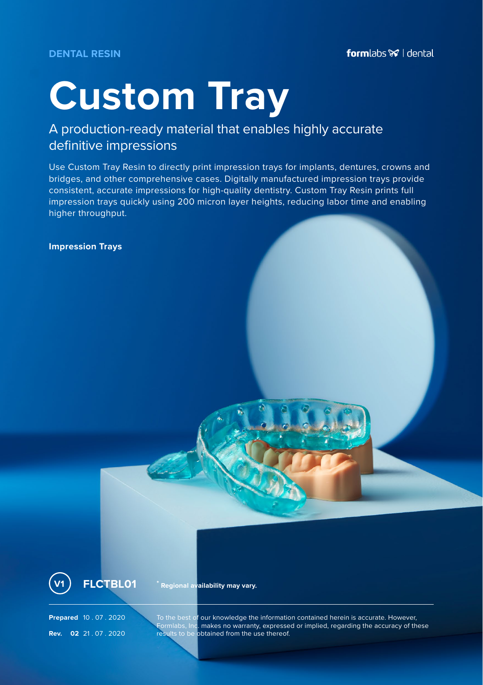## **Custom Tray**

## A production-ready material that enables highly accurate definitive impressions

Use Custom Tray Resin to directly print impression trays for implants, dentures, crowns and bridges, and other comprehensive cases. Digitally manufactured impression trays provide consistent, accurate impressions for high-quality dentistry. Custom Tray Resin prints full impression trays quickly using 200 micron layer heights, reducing labor time and enabling higher throughput.

**Impression Trays**



**V1 FLCTBL01 \* Regional availability may vary.**

Prepared 10 . 07 . 2020 To the best of our knowledge the information contained herein is accurate. However,<br>Formlabs, Inc. makes no warranty, expressed or implied, regarding the accuracy of these<br>Rev. 02 21 . 07 . 2020 Fes